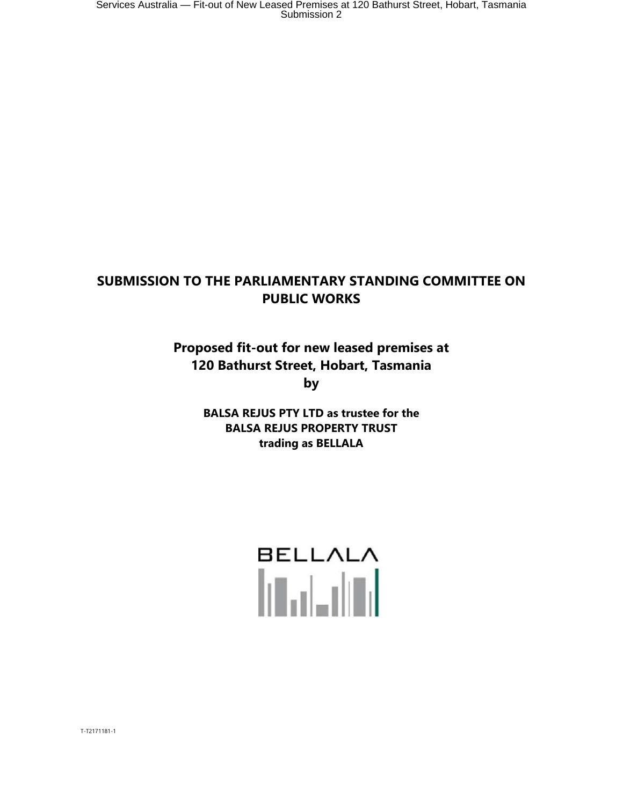### **SUBMISSION TO THE PARLIAMENTARY STANDING COMMITTEE ON PUBLIC WORKS**

**Proposed fit-out for new leased premises at 120 Bathurst Street, Hobart, Tasmania by** 

> **BALSA REJUS PTY LTD as trustee for the BALSA REJUS PROPERTY TRUST trading as BELLALA**

# **BELLALA Talent**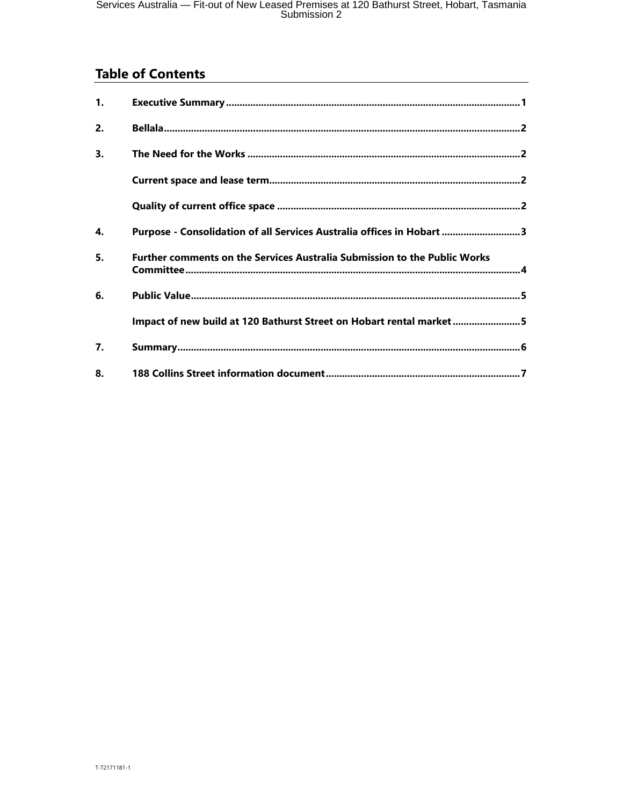# **Table of Contents**

| 1. |                                                                                  |
|----|----------------------------------------------------------------------------------|
| 2. |                                                                                  |
| 3. |                                                                                  |
|    |                                                                                  |
|    |                                                                                  |
| 4. | Purpose - Consolidation of all Services Australia offices in Hobart 3            |
| 5. | <b>Further comments on the Services Australia Submission to the Public Works</b> |
| 6. |                                                                                  |
|    | Impact of new build at 120 Bathurst Street on Hobart rental market5              |
| 7. |                                                                                  |
| 8. |                                                                                  |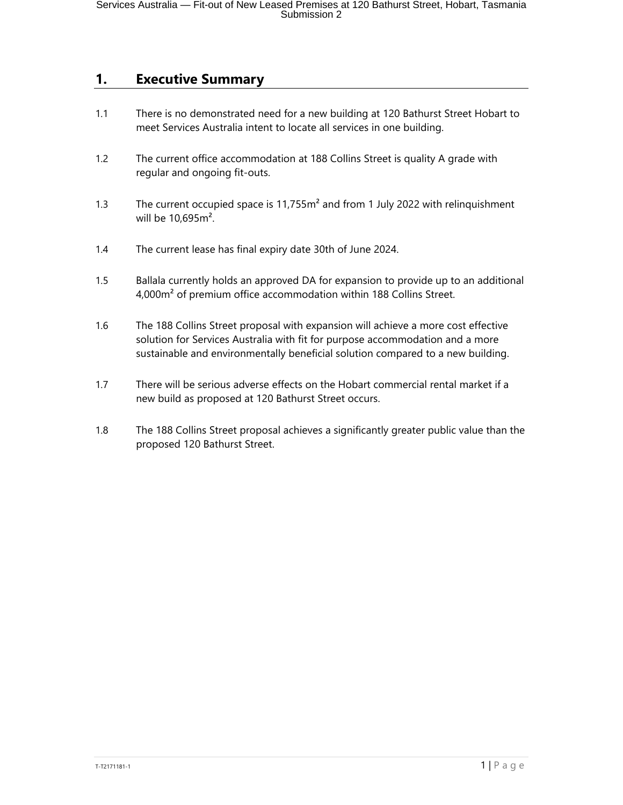#### **1. Executive Summary**

- 1.1 There is no demonstrated need for a new building at 120 Bathurst Street Hobart to meet Services Australia intent to locate all services in one building.
- 1.2 The current office accommodation at 188 Collins Street is quality A grade with regular and ongoing fit-outs.
- 1.3 The current occupied space is 11,755m<sup>2</sup> and from 1 July 2022 with relinquishment will be 10,695m².
- 1.4 The current lease has final expiry date 30th of June 2024.
- 1.5 Ballala currently holds an approved DA for expansion to provide up to an additional 4,000m² of premium office accommodation within 188 Collins Street.
- 1.6 The 188 Collins Street proposal with expansion will achieve a more cost effective solution for Services Australia with fit for purpose accommodation and a more sustainable and environmentally beneficial solution compared to a new building.
- 1.7 There will be serious adverse effects on the Hobart commercial rental market if a new build as proposed at 120 Bathurst Street occurs.
- 1.8 The 188 Collins Street proposal achieves a significantly greater public value than the proposed 120 Bathurst Street.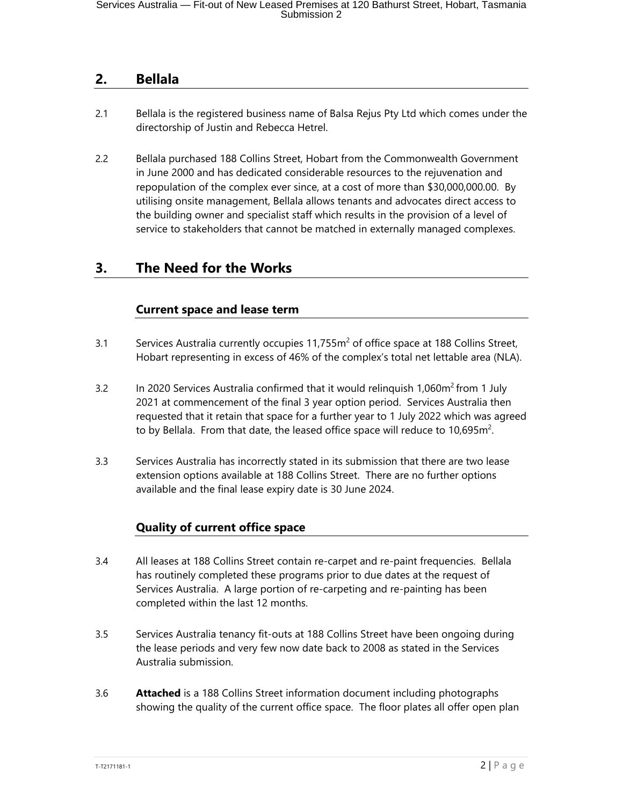## **2. Bellala**

- 2.1 Bellala is the registered business name of Balsa Rejus Pty Ltd which comes under the directorship of Justin and Rebecca Hetrel.
- 2.2 Bellala purchased 188 Collins Street, Hobart from the Commonwealth Government in June 2000 and has dedicated considerable resources to the rejuvenation and repopulation of the complex ever since, at a cost of more than \$30,000,000.00. By utilising onsite management, Bellala allows tenants and advocates direct access to the building owner and specialist staff which results in the provision of a level of service to stakeholders that cannot be matched in externally managed complexes.

## **3. The Need for the Works**

#### **Current space and lease term**

- 3.1 Services Australia currently occupies  $11,755m^2$  of office space at 188 Collins Street, Hobart representing in excess of 46% of the complex's total net lettable area (NLA).
- 3.2 In 2020 Services Australia confirmed that it would relinquish 1,060m<sup>2</sup> from 1 July 2021 at commencement of the final 3 year option period. Services Australia then requested that it retain that space for a further year to 1 July 2022 which was agreed to by Bellala. From that date, the leased office space will reduce to 10,695 $m^2$ .
- 3.3 Services Australia has incorrectly stated in its submission that there are two lease extension options available at 188 Collins Street. There are no further options available and the final lease expiry date is 30 June 2024.

#### **Quality of current office space**

- 3.4 All leases at 188 Collins Street contain re-carpet and re-paint frequencies. Bellala has routinely completed these programs prior to due dates at the request of Services Australia. A large portion of re-carpeting and re-painting has been completed within the last 12 months.
- 3.5 Services Australia tenancy fit-outs at 188 Collins Street have been ongoing during the lease periods and very few now date back to 2008 as stated in the Services Australia submission.
- 3.6 **Attached** is a 188 Collins Street information document including photographs showing the quality of the current office space. The floor plates all offer open plan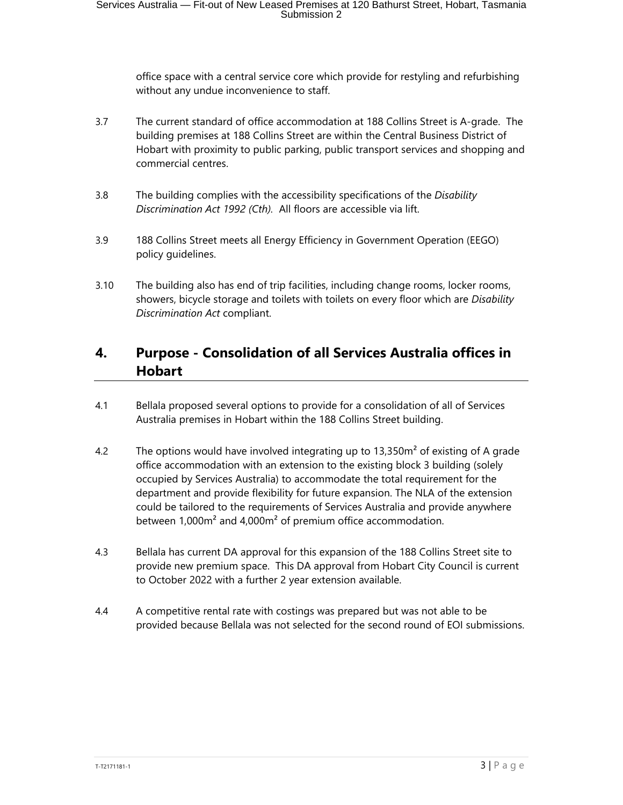office space with a central service core which provide for restyling and refurbishing without any undue inconvenience to staff.

- 3.7 The current standard of office accommodation at 188 Collins Street is A-grade. The building premises at 188 Collins Street are within the Central Business District of Hobart with proximity to public parking, public transport services and shopping and commercial centres.
- 3.8 The building complies with the accessibility specifications of the *Disability Discrimination Act 1992 (Cth).* All floors are accessible via lift.
- 3.9 188 Collins Street meets all Energy Efficiency in Government Operation (EEGO) policy guidelines.
- 3.10 The building also has end of trip facilities, including change rooms, locker rooms, showers, bicycle storage and toilets with toilets on every floor which are *Disability Discrimination Act* compliant.

# **4. Purpose - Consolidation of all Services Australia offices in Hobart**

- 4.1 Bellala proposed several options to provide for a consolidation of all of Services Australia premises in Hobart within the 188 Collins Street building.
- 4.2 The options would have involved integrating up to  $13,350m^2$  of existing of A grade office accommodation with an extension to the existing block 3 building (solely occupied by Services Australia) to accommodate the total requirement for the department and provide flexibility for future expansion. The NLA of the extension could be tailored to the requirements of Services Australia and provide anywhere between 1,000m² and 4,000m² of premium office accommodation.
- 4.3 Bellala has current DA approval for this expansion of the 188 Collins Street site to provide new premium space. This DA approval from Hobart City Council is current to October 2022 with a further 2 year extension available.
- 4.4 A competitive rental rate with costings was prepared but was not able to be provided because Bellala was not selected for the second round of EOI submissions.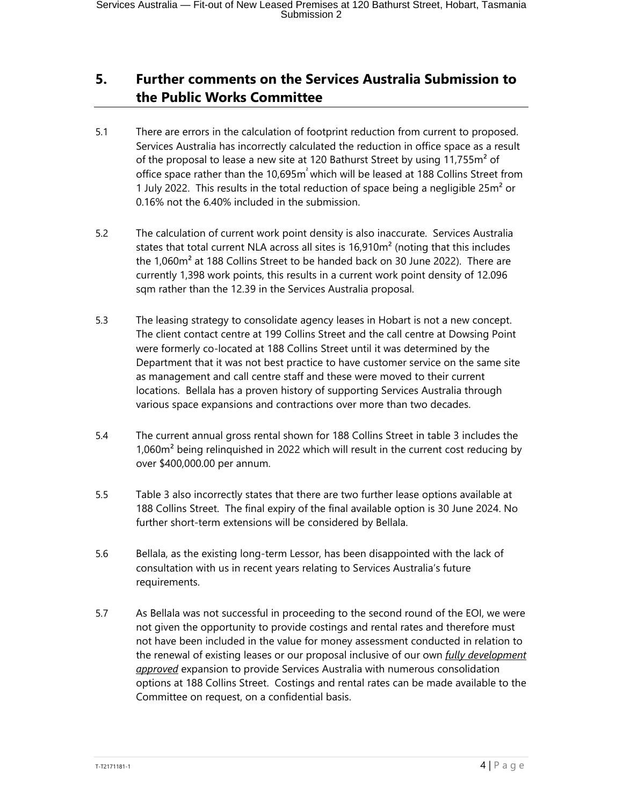## **5. Further comments on the Services Australia Submission to the Public Works Committee**

- 5.1 There are errors in the calculation of footprint reduction from current to proposed. Services Australia has incorrectly calculated the reduction in office space as a result of the proposal to lease a new site at 120 Bathurst Street by using 11,755m<sup>2</sup> of office space rather than the 10,695m² which will be leased at 188 Collins Street from 1 July 2022. This results in the total reduction of space being a negligible 25m² or 0.16% not the 6.40% included in the submission.
- 5.2 The calculation of current work point density is also inaccurate. Services Australia states that total current NLA across all sites is 16,910m<sup>2</sup> (noting that this includes the 1,060m² at 188 Collins Street to be handed back on 30 June 2022). There are currently 1,398 work points, this results in a current work point density of 12.096 sqm rather than the 12.39 in the Services Australia proposal.
- 5.3 The leasing strategy to consolidate agency leases in Hobart is not a new concept. The client contact centre at 199 Collins Street and the call centre at Dowsing Point were formerly co-located at 188 Collins Street until it was determined by the Department that it was not best practice to have customer service on the same site as management and call centre staff and these were moved to their current locations. Bellala has a proven history of supporting Services Australia through various space expansions and contractions over more than two decades.
- 5.4 The current annual gross rental shown for 188 Collins Street in table 3 includes the 1,060m<sup>2</sup> being relinguished in 2022 which will result in the current cost reducing by over \$400,000.00 per annum.
- 5.5 Table 3 also incorrectly states that there are two further lease options available at 188 Collins Street. The final expiry of the final available option is 30 June 2024. No further short-term extensions will be considered by Bellala.
- 5.6 Bellala, as the existing long-term Lessor, has been disappointed with the lack of consultation with us in recent years relating to Services Australia's future requirements.
- 5.7 As Bellala was not successful in proceeding to the second round of the EOI, we were not given the opportunity to provide costings and rental rates and therefore must not have been included in the value for money assessment conducted in relation to the renewal of existing leases or our proposal inclusive of our own *fully development approved* expansion to provide Services Australia with numerous consolidation options at 188 Collins Street. Costings and rental rates can be made available to the Committee on request, on a confidential basis.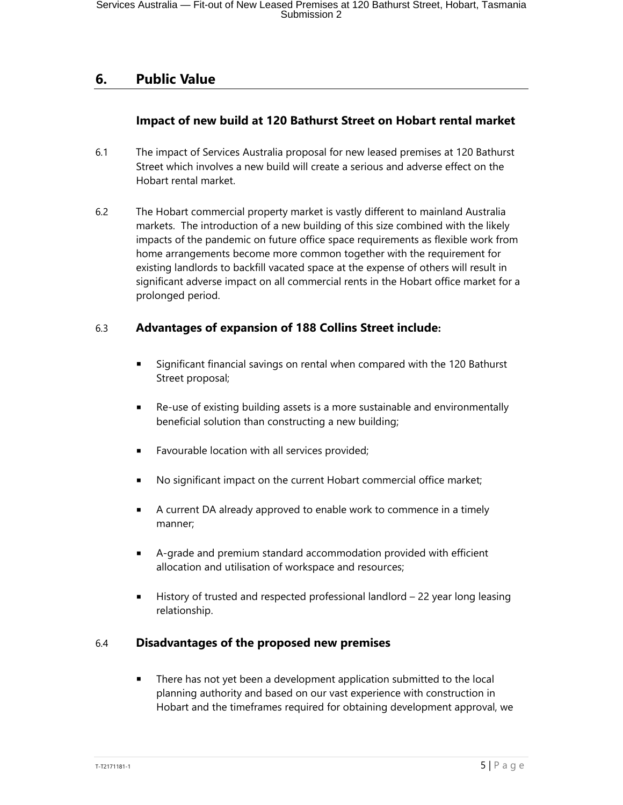## **6. Public Value**

#### **Impact of new build at 120 Bathurst Street on Hobart rental market**

- 6.1 The impact of Services Australia proposal for new leased premises at 120 Bathurst Street which involves a new build will create a serious and adverse effect on the Hobart rental market.
- 6.2 The Hobart commercial property market is vastly different to mainland Australia markets. The introduction of a new building of this size combined with the likely impacts of the pandemic on future office space requirements as flexible work from home arrangements become more common together with the requirement for existing landlords to backfill vacated space at the expense of others will result in significant adverse impact on all commercial rents in the Hobart office market for a prolonged period.

#### 6.3 **Advantages of expansion of 188 Collins Street include:**

- Significant financial savings on rental when compared with the 120 Bathurst Street proposal;
- Re-use of existing building assets is a more sustainable and environmentally beneficial solution than constructing a new building;
- Favourable location with all services provided;
- No significant impact on the current Hobart commercial office market;
- A current DA already approved to enable work to commence in a timely manner;
- A-grade and premium standard accommodation provided with efficient allocation and utilisation of workspace and resources;
- History of trusted and respected professional landlord 22 year long leasing relationship.

#### 6.4 **Disadvantages of the proposed new premises**

There has not yet been a development application submitted to the local planning authority and based on our vast experience with construction in Hobart and the timeframes required for obtaining development approval, we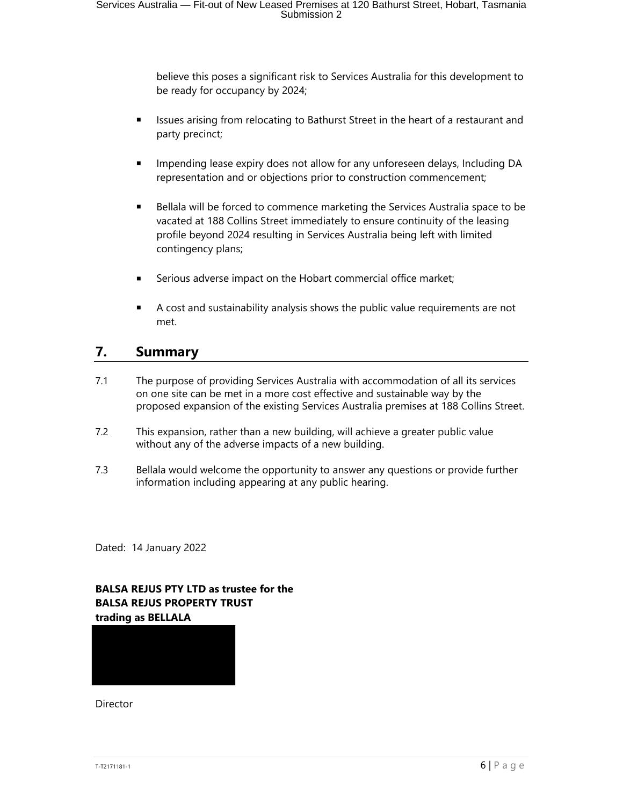believe this poses a significant risk to Services Australia for this development to be ready for occupancy by 2024;

- **EXECT** Issues arising from relocating to Bathurst Street in the heart of a restaurant and party precinct;
- Impending lease expiry does not allow for any unforeseen delays, Including DA representation and or objections prior to construction commencement;
- **EXECT** Bellala will be forced to commence marketing the Services Australia space to be vacated at 188 Collins Street immediately to ensure continuity of the leasing profile beyond 2024 resulting in Services Australia being left with limited contingency plans;
- Serious adverse impact on the Hobart commercial office market;
- A cost and sustainability analysis shows the public value requirements are not met.

#### **7. Summary**

- 7.1 The purpose of providing Services Australia with accommodation of all its services on one site can be met in a more cost effective and sustainable way by the proposed expansion of the existing Services Australia premises at 188 Collins Street.
- 7.2 This expansion, rather than a new building, will achieve a greater public value without any of the adverse impacts of a new building.
- 7.3 Bellala would welcome the opportunity to answer any questions or provide further information including appearing at any public hearing.

Dated: 14 January 2022

#### **BALSA REJUS PTY LTD as trustee for the BALSA REJUS PROPERTY TRUST trading as BELLALA**



Director